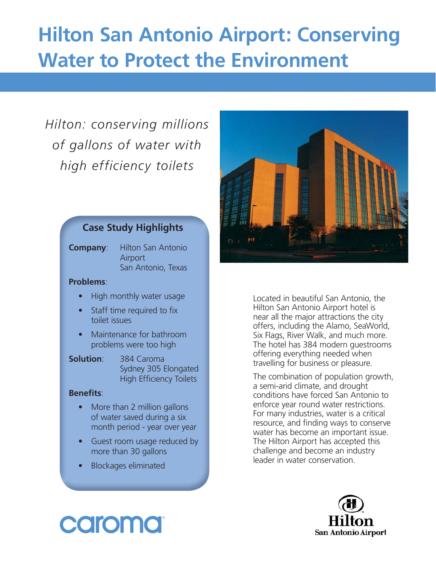## **Hilton San Antonio Airport: Conserving Water to Protect the Environment**

### *Hilton: conserving millions of gallons of water with high efficiency toilets*

#### **Case Study Highlights**

**Company:** Hilton San Antonio Airport San Antonio, Texas

#### **Problems**:

- High monthly water usage
- Staff time required to fix toilet issues
- Maintenance for bathroom problems were too high
- **Solution**: 384 Caroma Sydney 305 Elongated High Efficiency Toilets

#### **Benefits:**

- More than 2 million gallons of water saved during a six month period - year over year
- Guest room usage reduced by more than 30 gallons
- Blockages eliminated



Located in beautiful San Antonio, the Hilton San Antonio Airport hotel is near all the major attractions the city offers, including the Alamo, SeaWorld, Six Flags, River Walk, and much more. The hotel has 384 modern guestrooms offering everything needed when travelling for business or pleasure.

The combination of population growth, a semi-arid climate, and drought conditions have forced San Antonio to enforce year round water restrictions. For many industries, water is a critical resource, and finding ways to conserve water has become an important issue. The Hilton Airport has accepted this challenge and become an industry leader in water conservation.



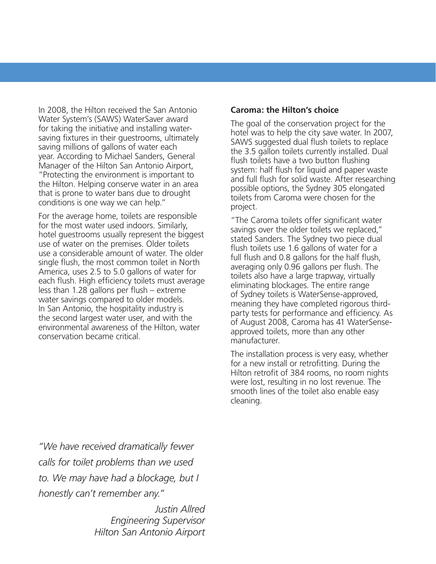In 2008, the Hilton received the San Antonio Water System's (SAWS) WaterSaver award for taking the initiative and installing watersaving fixtures in their guestrooms, ultimately saving millions of gallons of water each year. According to Michael Sanders, General Manager of the Hilton San Antonio Airport, "Protecting the environment is important to the Hilton. Helping conserve water in an area that is prone to water bans due to drought conditions is one way we can help."

For the average home, toilets are responsible for the most water used indoors. Similarly, hotel guestrooms usually represent the biggest use of water on the premises. Older toilets use a considerable amount of water. The older single flush, the most common toilet in North America, uses 2.5 to 5.0 gallons of water for each flush. High efficiency toilets must average less than 1.28 gallons per flush  $-$  extreme water savings compared to older models. In San Antonio, the hospitality industry is the second largest water user, and with the environmental awareness of the Hilton, water conservation became critical.

#### **Caroma: the Hilton's choice**

The goal of the conservation project for the hotel was to help the city save water. In 2007, SAWS suggested dual flush toilets to replace the 3.5 gallon toilets currently installed. Dual flush toilets have a two button flushing system: half flush for liquid and paper waste and full flush for solid waste. After researching possible options, the Sydney 305 elongated toilets from Caroma were chosen for the project.

"The Caroma toilets offer significant water savings over the older toilets we replaced," stated Sanders. The Sydney two piece dual flush toilets use 1.6 gallons of water for a full flush and 0.8 gallons for the half flush, averaging only 0.96 gallons per flush. The toilets also have a large trapway, virtually eliminating blockages. The entire range of Sydney toilets is WaterSense-approved, meaning they have completed rigorous thirdparty tests for performance and efficiency. As of August 2008, Caroma has 41 WaterSenseapproved toilets, more than any other manufacturer.

The installation process is very easy, whether for a new install or retrofitting. During the Hilton retrofit of 384 rooms, no room nights were lost, resulting in no lost revenue. The smooth lines of the toilet also enable easy cleaning.

*"We have received dramatically fewer calls for toilet problems than we used to. We may have had a blockage, but I honestly can't remember any."*

> *Justin Allred Engineering Supervisor Hilton San Antonio Airport*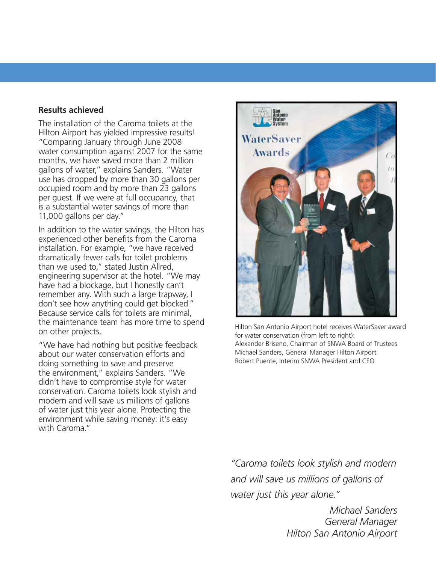#### **Results achieved**

The installation of the Caroma toilets at the Hilton Airport has yielded impressive results! "Comparing January through June 2008 water consumption against 2007 for the same months, we have saved more than 2 million gallons of water," explains Sanders. "Water use has dropped by more than 30 gallons per occupied room and by more than 23 gallons per guest. If we were at full occupancy, that is a substantial water savings of more than 11,000 gallons per day."

In addition to the water savings, the Hilton has experienced other benefits from the Caroma installation. For example, "we have received dramatically fewer calls for toilet problems than we used to," stated Justin Allred, engineering supervisor at the hotel. "We may have had a blockage, but I honestly can't remember any. With such a large trapway, I don't see how anything could get blocked." Because service calls for toilets are minimal, the maintenance team has more time to spend on other projects.

"We have had nothing but positive feedback about our water conservation efforts and doing something to save and preserve the environment," explains Sanders. "We didn't have to compromise style for water conservation. Caroma toilets look stylish and modern and will save us millions of gallons of water just this year alone. Protecting the environment while saving money: it's easy with Caroma"



Hilton San Antonio Airport hotel receives WaterSaver award for water conservation (from left to right): Alexander Briseno, Chairman of SNWA Board of Trustees Michael Sanders, General Manager Hilton Airport Robert Puente, Interim SNWA President and CEO

*"Caroma toilets look stylish and modern and will save us millions of gallons of water just this year alone."*

> *Michael Sanders General Manager Hilton San Antonio Airport*